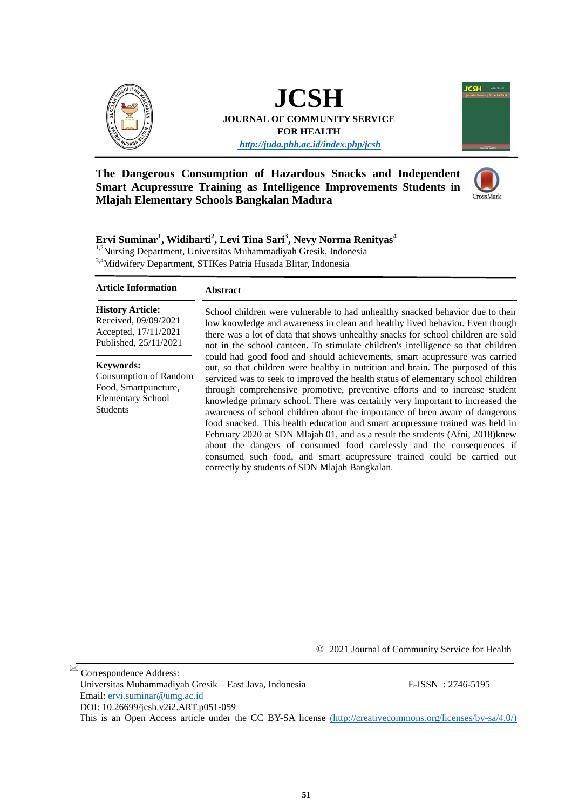

# **JCSH JOURNAL OF COMMUNITY SERVICE FOR HEALTH**

*<http://juda.phb.ac.id/index.php/jcsh>*



#### **The Dangerous Consumption of Hazardous Snacks and Independent Smart Acupressure Training as Intelligence Improvements Students in Mlajah Elementary Schools Bangkalan Madura**



#### **Ervi Suminar<sup>1</sup> , Widiharti<sup>2</sup> , Levi Tina Sari<sup>3</sup> , Nevy Norma Renityas<sup>4</sup>** 1,2Nursing Department, Universitas Muhammadiyah Gresik, Indonesia

3,4Midwifery Department, STIKes Patria Husada Blitar, Indonesia

#### **Abstract Article Information**

#### **History Article:**

Received, 09/09/2021 Accepted, 17/11/2021 Published, 25/11/2021

#### **Keywords:**

Consumption of Random Food, Smartpuncture, Elementary School Students

School children were vulnerable to had unhealthy snacked behavior due to their low knowledge and awareness in clean and healthy lived behavior. Even though there was a lot of data that shows unhealthy snacks for school children are sold not in the school canteen. To stimulate children's intelligence so that children could had good food and should achievements, smart acupressure was carried out, so that children were healthy in nutrition and brain. The purposed of this serviced was to seek to improved the health status of elementary school children through comprehensive promotive, preventive efforts and to increase student knowledge primary school. There was certainly very important to increased the awareness of school children about the importance of been aware of dangerous food snacked. This health education and smart acupressure trained was held in February 2020 at SDN Mlajah 01, and as a result the students (Afni, 2018)knew about the dangers of consumed food carelessly and the consequences if consumed such food, and smart acupressure trained could be carried out correctly by students of SDN Mlajah Bangkalan.

© 2021 Journal of Community Service for Health

 Correspondence Address: Universitas Muhammadiyah Gresik – East Java, Indonesia E-ISSN : 2746-5195 Email: [ervi.suminar@umg.ac.id](mailto:ervi.suminar@umg.ac.id)  DOI: [10.26699/jcsh.v2i2.ART.p051-05](https://doi.org/10.26699/jcsh.v2i2.ART.p051-059)9 This is an Open Access article under the CC BY-SA license [\(http://creativecommons.org/licenses/by-sa/4.0/\)]((http:/creativecommons.org/licenses/by-sa/4.0/))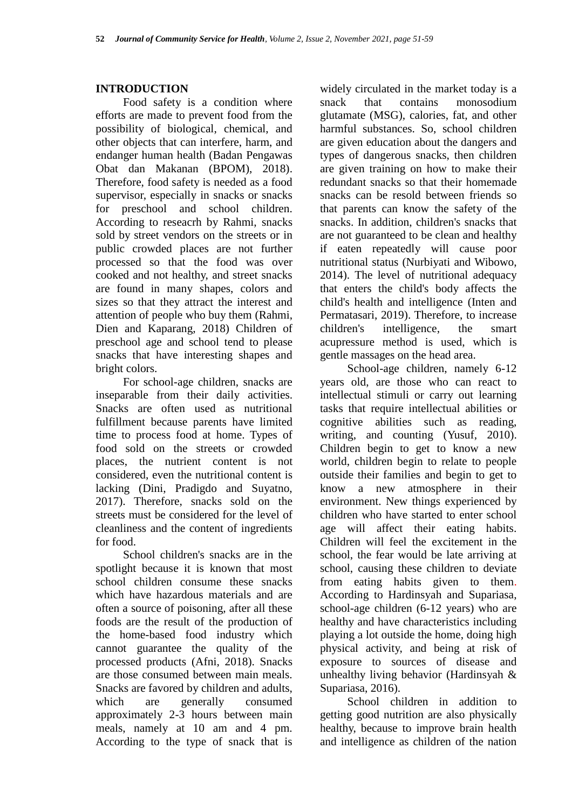#### **INTRODUCTION**

Food safety is a condition where efforts are made to prevent food from the possibility of biological, chemical, and other objects that can interfere, harm, and endanger human health (Badan Pengawas Obat dan Makanan (BPOM), 2018). Therefore, food safety is needed as a food supervisor, especially in snacks or snacks for preschool and school children. According to reseacrh by Rahmi, snacks sold by street vendors on the streets or in public crowded places are not further processed so that the food was over cooked and not healthy, and street snacks are found in many shapes, colors and sizes so that they attract the interest and attention of people who buy them (Rahmi, Dien and Kaparang, 2018) Children of preschool age and school tend to please snacks that have interesting shapes and bright colors.

For school-age children, snacks are inseparable from their daily activities. Snacks are often used as nutritional fulfillment because parents have limited time to process food at home. Types of food sold on the streets or crowded places, the nutrient content is not considered, even the nutritional content is lacking (Dini, Pradigdo and Suyatno, 2017). Therefore, snacks sold on the streets must be considered for the level of cleanliness and the content of ingredients for food.

School children's snacks are in the spotlight because it is known that most school children consume these snacks which have hazardous materials and are often a source of poisoning, after all these foods are the result of the production of the home-based food industry which cannot guarantee the quality of the processed products (Afni, 2018). Snacks are those consumed between main meals. Snacks are favored by children and adults, which are generally consumed approximately 2-3 hours between main meals, namely at 10 am and 4 pm. According to the type of snack that is

widely circulated in the market today is a snack that contains monosodium glutamate (MSG), calories, fat, and other harmful substances. So, school children are given education about the dangers and types of dangerous snacks, then children are given training on how to make their redundant snacks so that their homemade snacks can be resold between friends so that parents can know the safety of the snacks. In addition, children's snacks that are not guaranteed to be clean and healthy if eaten repeatedly will cause poor nutritional status (Nurbiyati and Wibowo, 2014). The level of nutritional adequacy that enters the child's body affects the child's health and intelligence (Inten and Permatasari, 2019). Therefore, to increase children's intelligence, the smart acupressure method is used, which is gentle massages on the head area.

School-age children, namely 6-12 years old, are those who can react to intellectual stimuli or carry out learning tasks that require intellectual abilities or cognitive abilities such as reading, writing, and counting (Yusuf, 2010). Children begin to get to know a new world, children begin to relate to people outside their families and begin to get to know a new atmosphere in their environment. New things experienced by children who have started to enter school age will affect their eating habits. Children will feel the excitement in the school, the fear would be late arriving at school, causing these children to deviate from eating habits given to them. According to Hardinsyah and Supariasa, school-age children (6-12 years) who are healthy and have characteristics including playing a lot outside the home, doing high physical activity, and being at risk of exposure to sources of disease and unhealthy living behavior (Hardinsyah & Supariasa, 2016).

School children in addition to getting good nutrition are also physically healthy, because to improve brain health and intelligence as children of the nation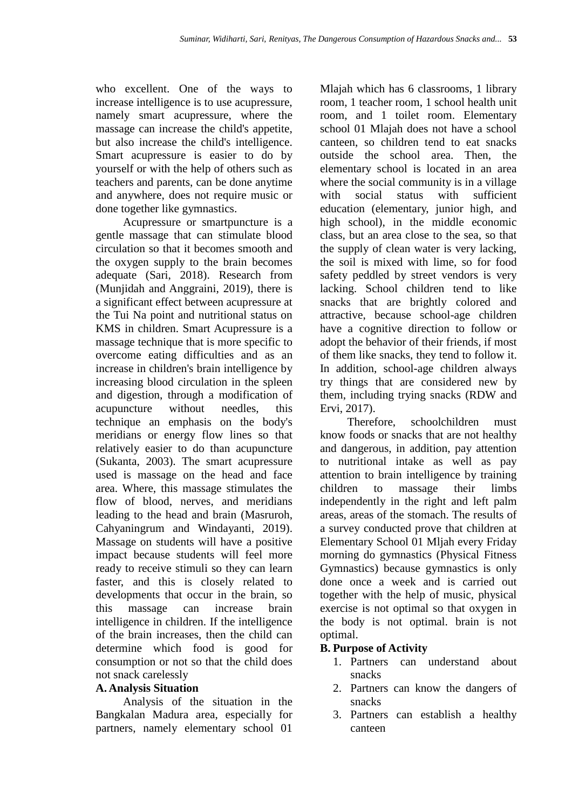who excellent. One of the ways to increase intelligence is to use acupressure, namely smart acupressure, where the massage can increase the child's appetite, but also increase the child's intelligence. Smart acupressure is easier to do by yourself or with the help of others such as teachers and parents, can be done anytime and anywhere, does not require music or done together like gymnastics.

Acupressure or smartpuncture is a gentle massage that can stimulate blood circulation so that it becomes smooth and the oxygen supply to the brain becomes adequate (Sari, 2018). Research from (Munjidah and Anggraini, 2019), there is a significant effect between acupressure at the Tui Na point and nutritional status on KMS in children. Smart Acupressure is a massage technique that is more specific to overcome eating difficulties and as an increase in children's brain intelligence by increasing blood circulation in the spleen and digestion, through a modification of acupuncture without needles, this technique an emphasis on the body's meridians or energy flow lines so that relatively easier to do than acupuncture (Sukanta, 2003). The smart acupressure used is massage on the head and face area. Where, this massage stimulates the flow of blood, nerves, and meridians leading to the head and brain (Masruroh, Cahyaningrum and Windayanti, 2019). Massage on students will have a positive impact because students will feel more ready to receive stimuli so they can learn faster, and this is closely related to developments that occur in the brain, so this massage can increase brain intelligence in children. If the intelligence of the brain increases, then the child can determine which food is good for consumption or not so that the child does not snack carelessly

#### **A. Analysis Situation**

Analysis of the situation in the Bangkalan Madura area, especially for partners, namely elementary school 01

Mlajah which has 6 classrooms, 1 library room, 1 teacher room, 1 school health unit room, and 1 toilet room. Elementary school 01 Mlajah does not have a school canteen, so children tend to eat snacks outside the school area. Then, the elementary school is located in an area where the social community is in a village with social status with sufficient education (elementary, junior high, and high school), in the middle economic class, but an area close to the sea, so that the supply of clean water is very lacking, the soil is mixed with lime, so for food safety peddled by street vendors is very lacking. School children tend to like snacks that are brightly colored and attractive, because school-age children have a cognitive direction to follow or adopt the behavior of their friends, if most of them like snacks, they tend to follow it. In addition, school-age children always try things that are considered new by them, including trying snacks (RDW and Ervi, 2017).

Therefore, schoolchildren must know foods or snacks that are not healthy and dangerous, in addition, pay attention to nutritional intake as well as pay attention to brain intelligence by training children to massage their limbs independently in the right and left palm areas, areas of the stomach. The results of a survey conducted prove that children at Elementary School 01 Mljah every Friday morning do gymnastics (Physical Fitness Gymnastics) because gymnastics is only done once a week and is carried out together with the help of music, physical exercise is not optimal so that oxygen in the body is not optimal. brain is not optimal.

#### **B. Purpose of Activity**

- 1. Partners can understand about snacks
- 2. Partners can know the dangers of snacks
- 3. Partners can establish a healthy canteen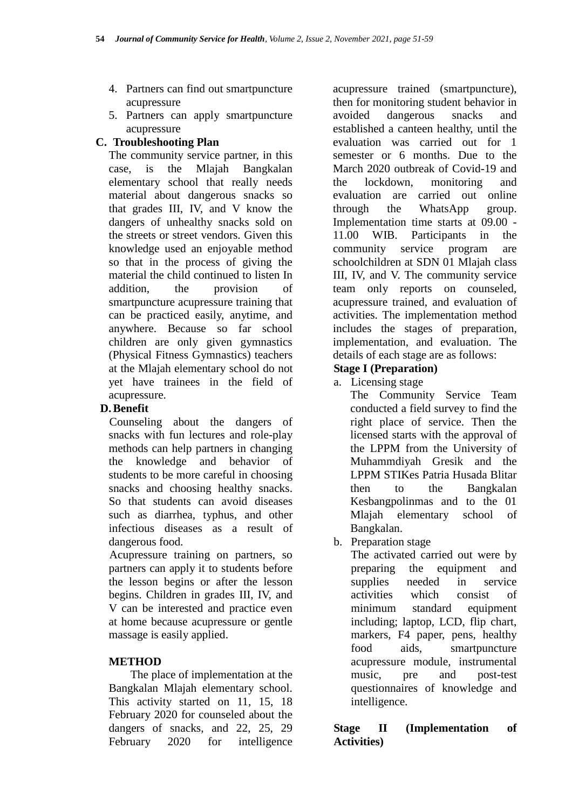- 4. Partners can find out smartpuncture acupressure
- 5. Partners can apply smartpuncture acupressure

#### **C. Troubleshooting Plan**

The community service partner, in this case, is the Mlajah Bangkalan elementary school that really needs material about dangerous snacks so that grades III, IV, and V know the dangers of unhealthy snacks sold on the streets or street vendors. Given this knowledge used an enjoyable method so that in the process of giving the material the child continued to listen In addition, the provision of smartpuncture acupressure training that can be practiced easily, anytime, and anywhere. Because so far school children are only given gymnastics (Physical Fitness Gymnastics) teachers at the Mlajah elementary school do not yet have trainees in the field of acupressure.

### **D.Benefit**

Counseling about the dangers of snacks with fun lectures and role-play methods can help partners in changing the knowledge and behavior of students to be more careful in choosing snacks and choosing healthy snacks. So that students can avoid diseases such as diarrhea, typhus, and other infectious diseases as a result of dangerous food.

Acupressure training on partners, so partners can apply it to students before the lesson begins or after the lesson begins. Children in grades III, IV, and V can be interested and practice even at home because acupressure or gentle massage is easily applied.

## **METHOD**

The place of implementation at the Bangkalan Mlajah elementary school. This activity started on 11, 15, 18 February 2020 for counseled about the dangers of snacks, and 22, 25, 29 February 2020 for intelligence

acupressure trained (smartpuncture), then for monitoring student behavior in avoided dangerous snacks and established a canteen healthy, until the evaluation was carried out for 1 semester or 6 months. Due to the March 2020 outbreak of Covid-19 and the lockdown, monitoring and evaluation are carried out online through the WhatsApp group. Implementation time starts at 09.00 - 11.00 WIB. Participants in the community service program are schoolchildren at SDN 01 Mlajah class III, IV, and V. The community service team only reports on counseled, acupressure trained, and evaluation of activities. The implementation method includes the stages of preparation, implementation, and evaluation. The details of each stage are as follows:

#### **Stage I (Preparation)**

a. Licensing stage

The Community Service Team conducted a field survey to find the right place of service. Then the licensed starts with the approval of the LPPM from the University of Muhammdiyah Gresik and the LPPM STIKes Patria Husada Blitar then to the Bangkalan Kesbangpolinmas and to the 01 Mlajah elementary school of Bangkalan.

b. Preparation stage

The activated carried out were by preparing the equipment and supplies needed in service activities which consist of minimum standard equipment including; laptop, LCD, flip chart, markers, F4 paper, pens, healthy food aids, smartpuncture acupressure module, instrumental music, pre and post-test questionnaires of knowledge and intelligence.

**Stage II (Implementation of Activities)**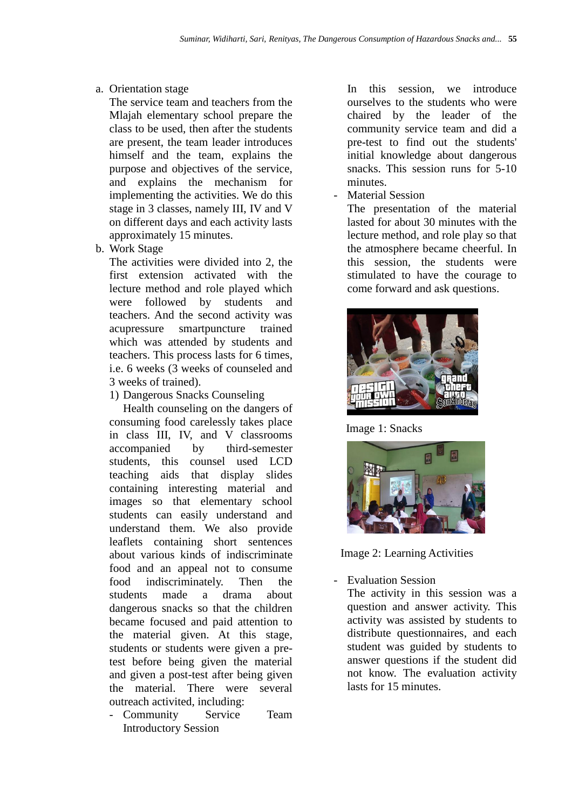#### a. Orientation stage

The service team and teachers from the Mlajah elementary school prepare the class to be used, then after the students are present, the team leader introduces himself and the team, explains the purpose and objectives of the service, and explains the mechanism for implementing the activities. We do this stage in 3 classes, namely III, IV and V on different days and each activity lasts approximately 15 minutes.

b. Work Stage

The activities were divided into 2, the first extension activated with the lecture method and role played which were followed by students and teachers. And the second activity was acupressure smartpuncture trained which was attended by students and teachers. This process lasts for 6 times, i.e. 6 weeks (3 weeks of counseled and 3 weeks of trained).

1) Dangerous Snacks Counseling

Health counseling on the dangers of consuming food carelessly takes place in class III, IV, and V classrooms accompanied by third-semester students, this counsel used LCD teaching aids that display slides containing interesting material and images so that elementary school students can easily understand and understand them. We also provide leaflets containing short sentences about various kinds of indiscriminate food and an appeal not to consume food indiscriminately. Then the students made a drama about dangerous snacks so that the children became focused and paid attention to the material given. At this stage, students or students were given a pretest before being given the material and given a post-test after being given the material. There were several outreach activited, including:

- Community Service Team Introductory Session

In this session, we introduce ourselves to the students who were chaired by the leader of the community service team and did a pre-test to find out the students' initial knowledge about dangerous snacks. This session runs for 5-10 minutes.

Material Session

The presentation of the material lasted for about 30 minutes with the lecture method, and role play so that the atmosphere became cheerful. In this session, the students were stimulated to have the courage to come forward and ask questions.



Image 1: Snacks



Image 2: Learning Activities

- Evaluation Session

The activity in this session was a question and answer activity. This activity was assisted by students to distribute questionnaires, and each student was guided by students to answer questions if the student did not know. The evaluation activity lasts for 15 minutes.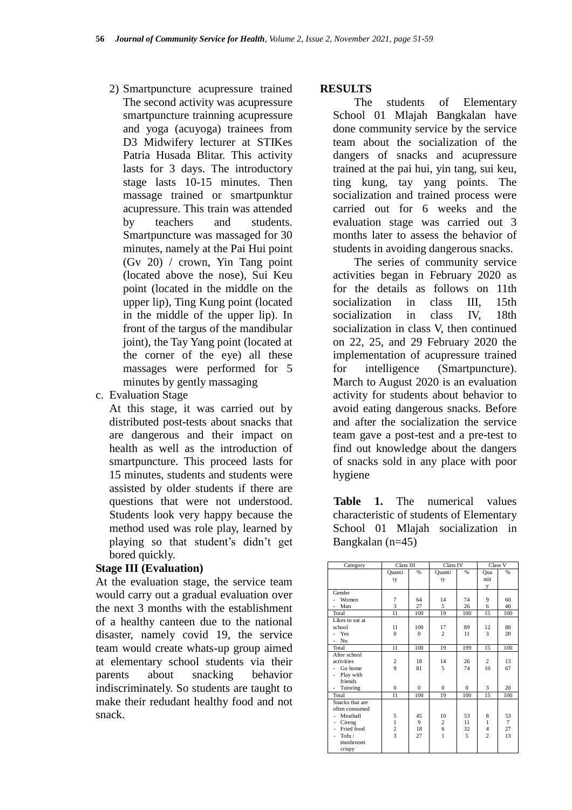- 2) Smartpuncture acupressure trained The second activity was acupressure smartpuncture trainning acupressure and yoga (acuyoga) trainees from D3 Midwifery lecturer at STIKes Patria Husada Blitar. This activity lasts for 3 days. The introductory stage lasts 10-15 minutes. Then massage trained or smartpunktur acupressure. This train was attended by teachers and students. Smartpuncture was massaged for 30 minutes, namely at the Pai Hui point (Gv 20) / crown, Yin Tang point (located above the nose), Sui Keu point (located in the middle on the upper lip), Ting Kung point (located in the middle of the upper lip). In front of the targus of the mandibular joint), the Tay Yang point (located at the corner of the eye) all these massages were performed for 5 minutes by gently massaging
- c. Evaluation Stage

At this stage, it was carried out by distributed post-tests about snacks that are dangerous and their impact on health as well as the introduction of smartpuncture. This proceed lasts for 15 minutes, students and students were assisted by older students if there are questions that were not understood. Students look very happy because the method used was role play, learned by playing so that student's didn't get bored quickly.

#### **Stage III (Evaluation)**

At the evaluation stage, the service team would carry out a gradual evaluation over the next 3 months with the establishment of a healthy canteen due to the national disaster, namely covid 19, the service team would create whats-up group aimed at elementary school students via their parents about snacking behavior indiscriminately. So students are taught to make their redudant healthy food and not snack.

#### **RESULTS**

The students of Elementary School 01 Mlajah Bangkalan have done community service by the service team about the socialization of the dangers of snacks and acupressure trained at the pai hui, yin tang, sui keu, ting kung, tay yang points. The socialization and trained process were carried out for 6 weeks and the evaluation stage was carried out 3 months later to assess the behavior of students in avoiding dangerous snacks.

The series of community service activities began in February 2020 as for the details as follows on 11th socialization in class III, 15th socialization in class IV, 18th socialization in class V, then continued on 22, 25, and 29 February 2020 the implementation of acupressure trained for intelligence (Smartpuncture). March to August 2020 is an evaluation activity for students about behavior to avoid eating dangerous snacks. Before and after the socialization the service team gave a post-test and a pre-test to find out knowledge about the dangers of snacks sold in any place with poor hygiene

**Table 1.** The numerical values characteristic of students of Elementary School 01 Mlajah socialization in Bangkalan (n=45)

| Category                              | Class III        |          | Class IV       |          | Class V             |                |
|---------------------------------------|------------------|----------|----------------|----------|---------------------|----------------|
|                                       | Quanti           | %        | Quanti         | %        | Qua                 | %              |
|                                       | ty               |          | ty             |          | ntit                |                |
| Gender                                |                  |          |                |          | у                   |                |
| Women                                 | $\overline{7}$   | 64       | 14             | 74       | 9                   | 60             |
| Man<br>$\overline{\phantom{a}}$       | $\overline{3}$   | 27       | 5              | 26       | 6                   | 40             |
| Total                                 | 11               | 100      | 19             | 100      | 15                  | 100            |
| Likes to eat at                       |                  |          |                |          |                     |                |
| school                                | 11               | 100      | 17             | 89       | 12                  | 80             |
| Yes                                   | $\theta$         | $\Omega$ | $\overline{c}$ | 11       | 3                   | 20             |
| N <sub>o</sub>                        |                  |          |                |          |                     |                |
| Total                                 | 11               | 100      | 19             | 199      | 15                  | 100            |
| After school                          |                  |          |                |          |                     |                |
| activities                            | $\boldsymbol{2}$ | 18       | 14             | 26       | 2                   | 13             |
| Go home                               | $\overline{9}$   | 81       | 5              | 74       | 10                  | 67             |
| Play with<br>$\overline{\phantom{0}}$ |                  |          |                |          |                     |                |
| friends                               |                  |          |                |          |                     |                |
| Tutoring<br>$\overline{\phantom{0}}$  | $\Omega$         | $\Omega$ | $\Omega$       | $\Omega$ | 3                   | 20             |
| Total                                 | 11               | 100      | 19             | 100      | 15                  | 100            |
| Snacks that are                       |                  |          |                |          |                     |                |
| often consumed                        |                  |          |                |          |                     |                |
| Meathall                              | 5                | 45       | 10             | 53       | 8                   | 53             |
| Cireng<br>٠                           | $\mathbf{1}$     | 9        | $\overline{c}$ | 11       | $\mathbf{1}$        | $\overline{7}$ |
| Fried food<br>٠                       | $\frac{2}{3}$    | 18       | 6              | 32<br>5  | 4<br>$\overline{2}$ | 27             |
| Tofu/<br>٠                            |                  | 27       | $\mathbf{1}$   |          |                     | 13             |
| mushroom                              |                  |          |                |          |                     |                |
| crispy                                |                  |          |                |          |                     |                |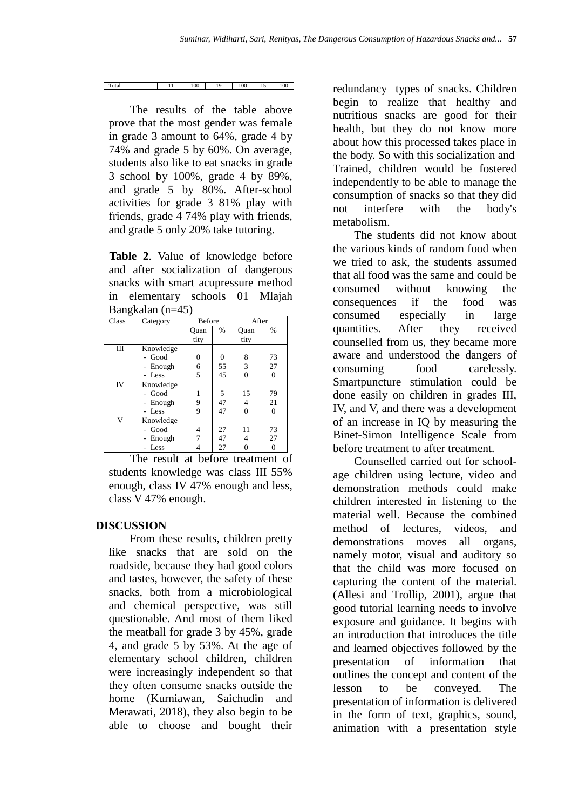| Total | . .<br>. . | 100 | 10 | 100 | $\sim$<br> | 100 |
|-------|------------|-----|----|-----|------------|-----|

The results of the table above prove that the most gender was female in grade 3 amount to 64%, grade 4 by 74% and grade 5 by 60%. On average, students also like to eat snacks in grade 3 school by 100%, grade 4 by 89%, and grade 5 by 80%. After-school activities for grade 3 81% play with friends, grade 4 74% play with friends, and grade 5 only 20% take tutoring.

**Table 2**. Value of knowledge before and after socialization of dangerous snacks with smart acupressure method in elementary schools 01 Mlajah Bangkalan (n=45)

| o<br>Class | Category  | <b>Before</b>  |      | After          |                |
|------------|-----------|----------------|------|----------------|----------------|
|            |           | Ouan           | $\%$ | Quan           | $\%$           |
|            |           | tity           |      | tity           |                |
| Ш          | Knowledge |                |      |                |                |
|            | Good      | $\overline{0}$ | 0    | 8              | 73             |
|            | Enough    | 6              | 55   | 3              | 27             |
|            | - Less    | 5              | 45   | $\overline{0}$ | $\overline{0}$ |
| IV         | Knowledge |                |      |                |                |
|            | - Good    |                | 5    | 15             | 79             |
|            | Enough    | 9              | 47   | 4              | 21             |
|            | Less      | 9              | 47   | $\theta$       | $\overline{0}$ |
| V          | Knowledge |                |      |                |                |
|            | Good      | 4              | 27   | 11             | 73             |
|            | Enough    | 7              | 47   | 4              | 27             |
|            | Less      |                | 27   |                | 0              |

The result at before treatment of students knowledge was class III 55% enough, class IV 47% enough and less, class V 47% enough.

#### **DISCUSSION**

From these results, children pretty like snacks that are sold on the roadside, because they had good colors and tastes, however, the safety of these snacks, both from a microbiological and chemical perspective, was still questionable. And most of them liked the meatball for grade 3 by 45%, grade 4, and grade 5 by 53%. At the age of elementary school children, children were increasingly independent so that they often consume snacks outside the home (Kurniawan, Saichudin and Merawati, 2018), they also begin to be able to choose and bought their

redundancy types of snacks. Children begin to realize that healthy and nutritious snacks are good for their health, but they do not know more about how this processed takes place in the body. So with this socialization and Trained, children would be fostered independently to be able to manage the consumption of snacks so that they did not interfere with the body's metabolism.

The students did not know about the various kinds of random food when we tried to ask, the students assumed that all food was the same and could be consumed without knowing the consequences if the food was consumed especially in large quantities. After they received counselled from us, they became more aware and understood the dangers of consuming food carelessly. Smartpuncture stimulation could be done easily on children in grades III, IV, and V, and there was a development of an increase in IQ by measuring the Binet-Simon Intelligence Scale from before treatment to after treatment.

 animation with a presentation style Counselled carried out for schoolage children using lecture, video and demonstration methods could make children interested in listening to the material well. Because the combined method of lectures, videos, and demonstrations moves all organs, namely motor, visual and auditory so that the child was more focused on capturing the content of the material. (Allesi and Trollip, 2001), argue that good tutorial learning needs to involve exposure and guidance. It begins with an introduction that introduces the title and learned objectives followed by the presentation of information that outlines the concept and content of the lesson to be conveyed. The presentation of information is delivered in the form of text, graphics, sound,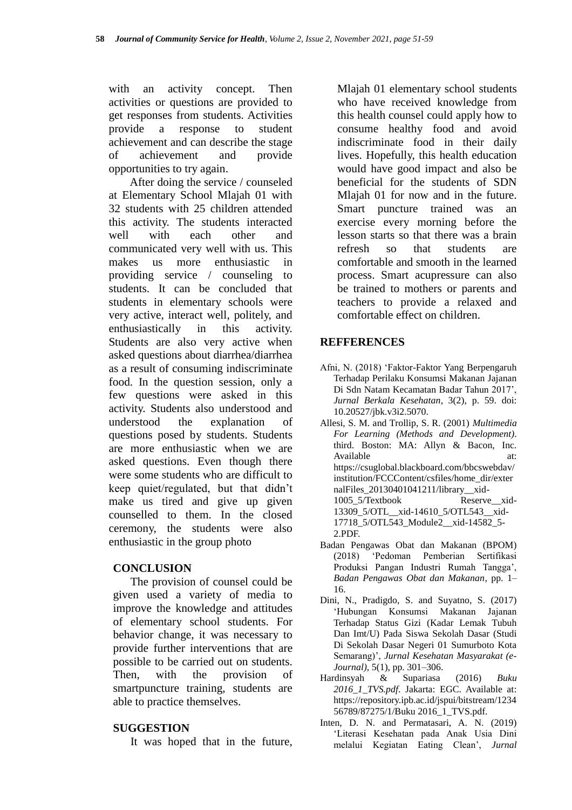with an activity concept. Then activities or questions are provided to get responses from students. Activities provide a response to student achievement and can describe the stage of achievement and provide opportunities to try again.

After doing the service / counseled at Elementary School Mlajah 01 with 32 students with 25 children attended this activity. The students interacted well with each other and communicated very well with us. This makes us more enthusiastic in providing service / counseling to students. It can be concluded that students in elementary schools were very active, interact well, politely, and enthusiastically in this activity. Students are also very active when asked questions about diarrhea/diarrhea as a result of consuming indiscriminate food. In the question session, only a few questions were asked in this activity. Students also understood and understood the explanation of questions posed by students. Students are more enthusiastic when we are asked questions. Even though there were some students who are difficult to keep quiet/regulated, but that didn't make us tired and give up given counselled to them. In the closed ceremony, the students were also enthusiastic in the group photo

#### **CONCLUSION**

The provision of counsel could be given used a variety of media to improve the knowledge and attitudes of elementary school students. For behavior change, it was necessary to provide further interventions that are possible to be carried out on students. Then, with the provision of smartpuncture training, students are able to practice themselves.

#### **SUGGESTION**

It was hoped that in the future,

Mlajah 01 elementary school students who have received knowledge from this health counsel could apply how to consume healthy food and avoid indiscriminate food in their daily lives. Hopefully, this health education would have good impact and also be beneficial for the students of SDN Mlajah 01 for now and in the future. Smart puncture trained was an exercise every morning before the lesson starts so that there was a brain refresh so that students are comfortable and smooth in the learned process. Smart acupressure can also be trained to mothers or parents and teachers to provide a relaxed and comfortable effect on children.

#### **REFFERENCES**

- Afni, N. (2018) 'Faktor-Faktor Yang Berpengaruh Terhadap Perilaku Konsumsi Makanan Jajanan Di Sdn Natam Kecamatan Badar Tahun 2017', *Jurnal Berkala Kesehatan*, 3(2), p. 59. doi: 10.20527/jbk.v3i2.5070.
- Allesi, S. M. and Trollip, S. R. (2001) *Multimedia For Learning (Methods and Development)*. third. Boston: MA: Allyn & Bacon, Inc. Available at: at: https://csuglobal.blackboard.com/bbcswebdav/ institution/FCCContent/csfiles/home\_dir/exter nalFiles\_20130401041211/library\_\_xid-1005\_5/Textbook Reserve\_\_xid-13309\_5/OTL\_\_xid-14610\_5/OTL543\_\_xid-17718\_5/OTL543\_Module2\_\_xid-14582\_5- 2.PDF.
- Badan Pengawas Obat dan Makanan (BPOM) (2018) 'Pedoman Pemberian Sertifikasi Produksi Pangan Industri Rumah Tangga', *Badan Pengawas Obat dan Makanan*, pp. 1– 16.
- Dini, N., Pradigdo, S. and Suyatno, S. (2017) 'Hubungan Konsumsi Makanan Jajanan Terhadap Status Gizi (Kadar Lemak Tubuh Dan Imt/U) Pada Siswa Sekolah Dasar (Studi Di Sekolah Dasar Negeri 01 Sumurboto Kota Semarang)', *Jurnal Kesehatan Masyarakat (e-Journal)*, 5(1), pp. 301–306.
- Hardinsyah & Supariasa (2016) *Buku 2016\_1\_TVS.pdf*. Jakarta: EGC. Available at: https://repository.ipb.ac.id/jspui/bitstream/1234 56789/87275/1/Buku 2016\_1\_TVS.pdf.
- Inten, D. N. and Permatasari, A. N. (2019) 'Literasi Kesehatan pada Anak Usia Dini melalui Kegiatan Eating Clean', *Jurnal*